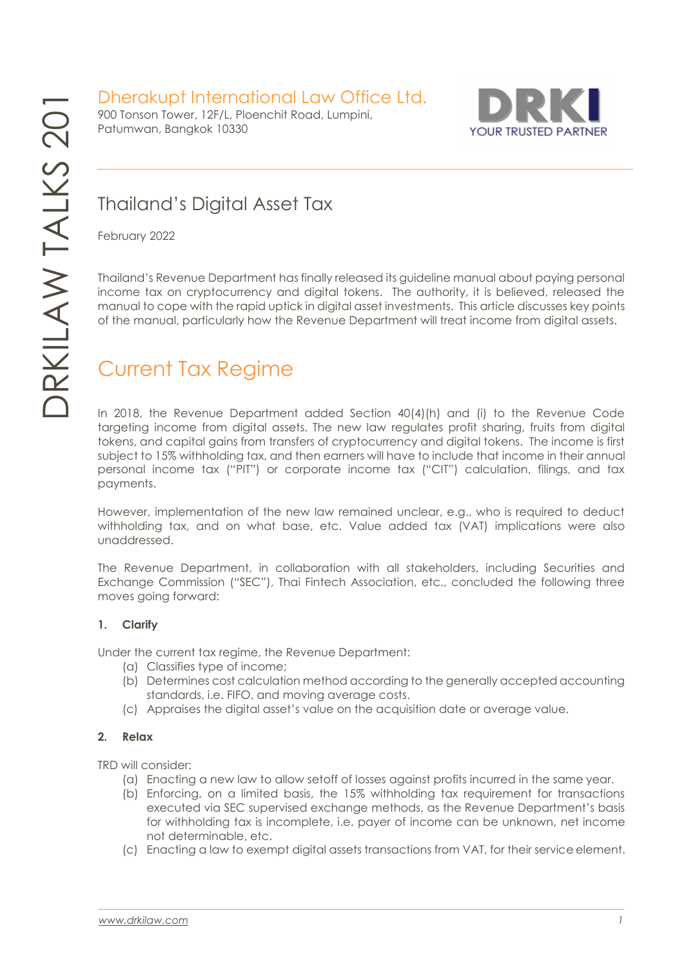Dherakupt International Law Office Ltd.

900 Tonson Tower, 12F/L, Ploenchit Road, Lumpini, Patumwan, Bangkok 10330



### Thailand's Digital Asset Tax

February 2022

Thailand's Revenue Department has finally released its guideline manual about paying personal income tax on cryptocurrency and digital tokens. The authority, it is believed, released the manual to cope with the rapid uptick in digital asset investments. This article discusses key points of the manual, particularly how the Revenue Department will treat income from digital assets.

# Current Tax Regime

In 2018, the Revenue Department added Section 40(4)(h) and (i) to the Revenue Code targeting income from digital assets. The new law regulates profit sharing, fruits from digital tokens, and capital gains from transfers of cryptocurrency and digital tokens. The income is first subject to 15% withholding tax, and then earners will have to include that income in their annual personal income tax ("PIT") or corporate income tax ("CIT") calculation, filings, and tax payments.

However, implementation of the new law remained unclear, e.g., who is required to deduct withholding tax, and on what base, etc. Value added tax (VAT) implications were also unaddressed.

The Revenue Department, in collaboration with all stakeholders, including Securities and Exchange Commission ("SEC"), Thai Fintech Association, etc., concluded the following three moves going forward:

### **1. Clarify**

Under the current tax regime, the Revenue Department:

- (a) Classifies type of income;
- (b) Determines cost calculation method according to the generally accepted accounting standards, i.e. FIFO, and moving average costs.
- (c) Appraises the digital asset's value on the acquisition date or average value.

### **2. Relax**

TRD will consider:

- (a) Enacting a new law to allow setoff of losses against profits incurred in the same year.
- (b) Enforcing, on a limited basis, the 15% withholding tax requirement for transactions executed via SEC supervised exchange methods, as the Revenue Department's basis for withholding tax is incomplete, i.e. payer of income can be unknown, net income not determinable, etc.
- (c) Enacting a law to exempt digital assets transactions from VAT, for their service element.